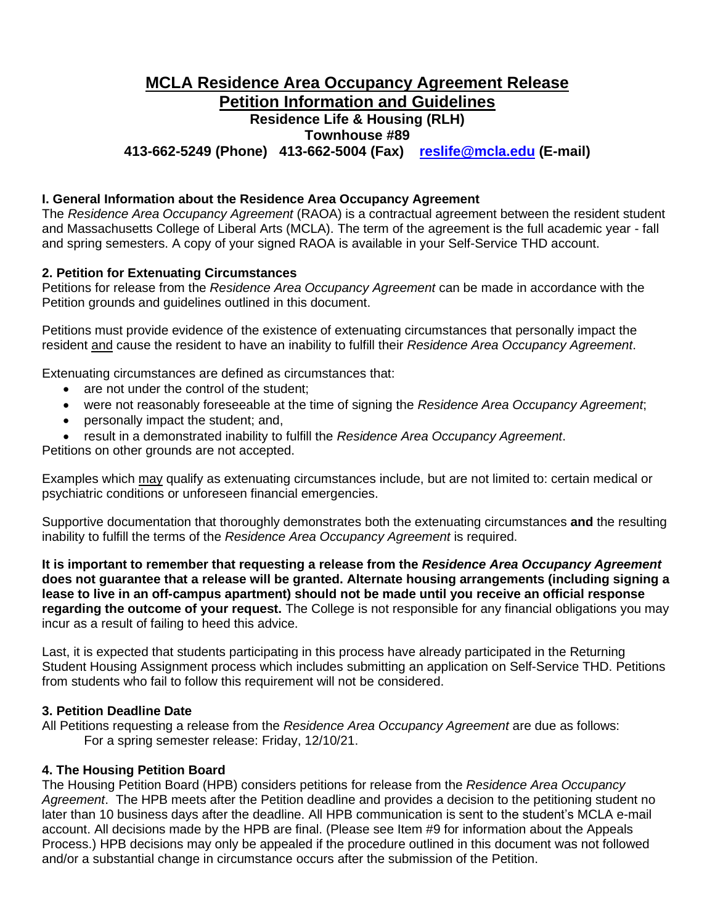# **MCLA Residence Area Occupancy Agreement Release Petition Information and Guidelines Residence Life & Housing (RLH) Townhouse #89 413-662-5249 (Phone) 413-662-5004 (Fax) [reslife@mcla.edu](mailto:reslife@mcla.edu) (E-mail)**

# **I. General Information about the Residence Area Occupancy Agreement**

The *Residence Area Occupancy Agreement* (RAOA) is a contractual agreement between the resident student and Massachusetts College of Liberal Arts (MCLA). The term of the agreement is the full academic year - fall and spring semesters. A copy of your signed RAOA is available in your Self-Service THD account.

# **2. Petition for Extenuating Circumstances**

Petitions for release from the *Residence Area Occupancy Agreement* can be made in accordance with the Petition grounds and guidelines outlined in this document.

Petitions must provide evidence of the existence of extenuating circumstances that personally impact the resident and cause the resident to have an inability to fulfill their *Residence Area Occupancy Agreement*.

Extenuating circumstances are defined as circumstances that:

- are not under the control of the student;
- were not reasonably foreseeable at the time of signing the *Residence Area Occupancy Agreement*;
- personally impact the student; and,
- result in a demonstrated inability to fulfill the *Residence Area Occupancy Agreement*.

Petitions on other grounds are not accepted.

Examples which may qualify as extenuating circumstances include, but are not limited to: certain medical or psychiatric conditions or unforeseen financial emergencies.

Supportive documentation that thoroughly demonstrates both the extenuating circumstances **and** the resulting inability to fulfill the terms of the *Residence Area Occupancy Agreement* is required.

**It is important to remember that requesting a release from the** *Residence Area Occupancy Agreement* **does not guarantee that a release will be granted. Alternate housing arrangements (including signing a lease to live in an off-campus apartment) should not be made until you receive an official response regarding the outcome of your request.** The College is not responsible for any financial obligations you may incur as a result of failing to heed this advice.

Last, it is expected that students participating in this process have already participated in the Returning Student Housing Assignment process which includes submitting an application on Self-Service THD. Petitions from students who fail to follow this requirement will not be considered.

#### **3. Petition Deadline Date**

All Petitions requesting a release from the *Residence Area Occupancy Agreement* are due as follows: For a spring semester release: Friday, 12/10/21.

# **4. The Housing Petition Board**

The Housing Petition Board (HPB) considers petitions for release from the *Residence Area Occupancy Agreement*. The HPB meets after the Petition deadline and provides a decision to the petitioning student no later than 10 business days after the deadline. All HPB communication is sent to the student's MCLA e-mail account. All decisions made by the HPB are final. (Please see Item #9 for information about the Appeals Process.) HPB decisions may only be appealed if the procedure outlined in this document was not followed and/or a substantial change in circumstance occurs after the submission of the Petition.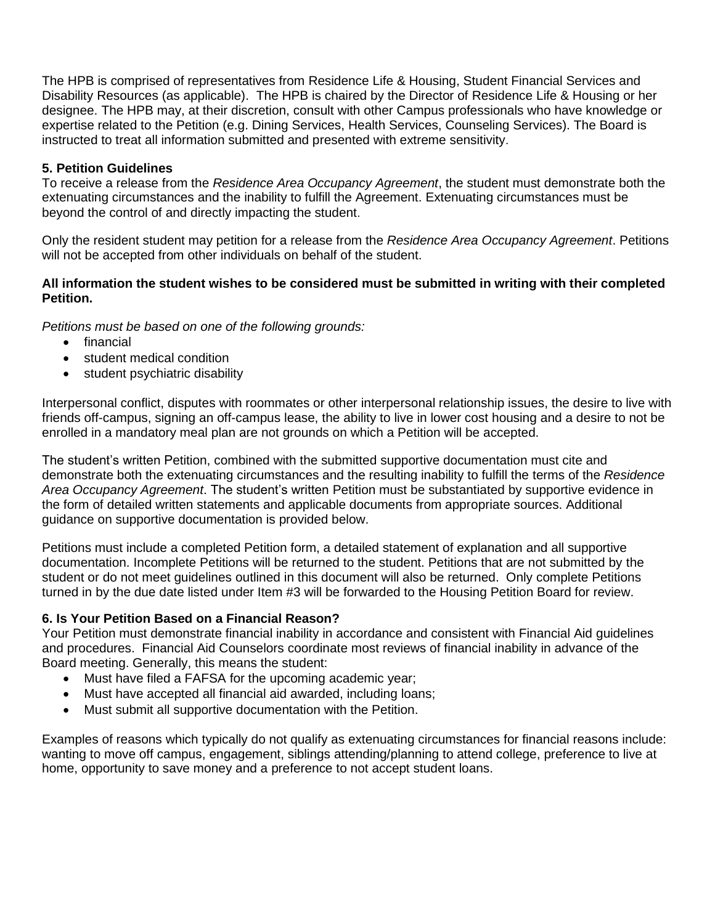The HPB is comprised of representatives from Residence Life & Housing, Student Financial Services and Disability Resources (as applicable). The HPB is chaired by the Director of Residence Life & Housing or her designee. The HPB may, at their discretion, consult with other Campus professionals who have knowledge or expertise related to the Petition (e.g. Dining Services, Health Services, Counseling Services). The Board is instructed to treat all information submitted and presented with extreme sensitivity.

# **5. Petition Guidelines**

To receive a release from the *Residence Area Occupancy Agreement*, the student must demonstrate both the extenuating circumstances and the inability to fulfill the Agreement. Extenuating circumstances must be beyond the control of and directly impacting the student.

Only the resident student may petition for a release from the *Residence Area Occupancy Agreement*. Petitions will not be accepted from other individuals on behalf of the student.

### **All information the student wishes to be considered must be submitted in writing with their completed Petition.**

*Petitions must be based on one of the following grounds:* 

- financial
- student medical condition
- student psychiatric disability

Interpersonal conflict, disputes with roommates or other interpersonal relationship issues, the desire to live with friends off-campus, signing an off-campus lease, the ability to live in lower cost housing and a desire to not be enrolled in a mandatory meal plan are not grounds on which a Petition will be accepted.

The student's written Petition, combined with the submitted supportive documentation must cite and demonstrate both the extenuating circumstances and the resulting inability to fulfill the terms of the *Residence Area Occupancy Agreement*. The student's written Petition must be substantiated by supportive evidence in the form of detailed written statements and applicable documents from appropriate sources. Additional guidance on supportive documentation is provided below.

Petitions must include a completed Petition form, a detailed statement of explanation and all supportive documentation. Incomplete Petitions will be returned to the student. Petitions that are not submitted by the student or do not meet guidelines outlined in this document will also be returned. Only complete Petitions turned in by the due date listed under Item #3 will be forwarded to the Housing Petition Board for review.

# **6. Is Your Petition Based on a Financial Reason?**

Your Petition must demonstrate financial inability in accordance and consistent with Financial Aid guidelines and procedures. Financial Aid Counselors coordinate most reviews of financial inability in advance of the Board meeting. Generally, this means the student:

- Must have filed a FAFSA for the upcoming academic year;
- Must have accepted all financial aid awarded, including loans;
- Must submit all supportive documentation with the Petition.

Examples of reasons which typically do not qualify as extenuating circumstances for financial reasons include: wanting to move off campus, engagement, siblings attending/planning to attend college, preference to live at home, opportunity to save money and a preference to not accept student loans.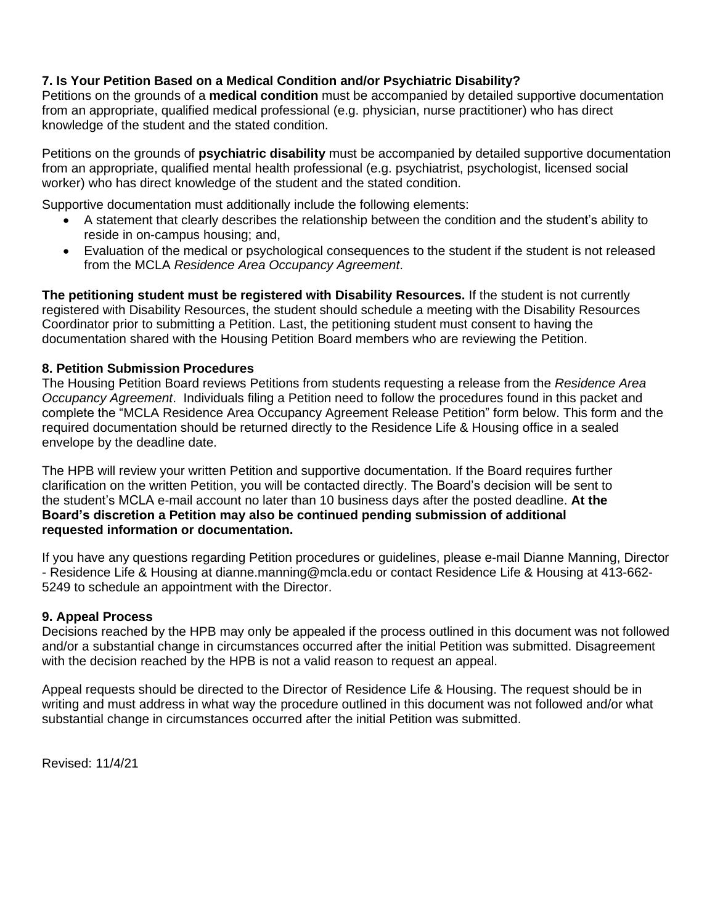# **7. Is Your Petition Based on a Medical Condition and/or Psychiatric Disability?**

Petitions on the grounds of a **medical condition** must be accompanied by detailed supportive documentation from an appropriate, qualified medical professional (e.g. physician, nurse practitioner) who has direct knowledge of the student and the stated condition.

Petitions on the grounds of **psychiatric disability** must be accompanied by detailed supportive documentation from an appropriate, qualified mental health professional (e.g. psychiatrist, psychologist, licensed social worker) who has direct knowledge of the student and the stated condition.

Supportive documentation must additionally include the following elements:

- A statement that clearly describes the relationship between the condition and the student's ability to reside in on-campus housing; and,
- Evaluation of the medical or psychological consequences to the student if the student is not released from the MCLA *Residence Area Occupancy Agreement*.

**The petitioning student must be registered with Disability Resources.** If the student is not currently registered with Disability Resources, the student should schedule a meeting with the Disability Resources Coordinator prior to submitting a Petition. Last, the petitioning student must consent to having the documentation shared with the Housing Petition Board members who are reviewing the Petition.

# **8. Petition Submission Procedures**

The Housing Petition Board reviews Petitions from students requesting a release from the *Residence Area Occupancy Agreement*. Individuals filing a Petition need to follow the procedures found in this packet and complete the "MCLA Residence Area Occupancy Agreement Release Petition" form below. This form and the required documentation should be returned directly to the Residence Life & Housing office in a sealed envelope by the deadline date.

The HPB will review your written Petition and supportive documentation. If the Board requires further clarification on the written Petition, you will be contacted directly. The Board's decision will be sent to the student's MCLA e-mail account no later than 10 business days after the posted deadline. **At the Board's discretion a Petition may also be continued pending submission of additional requested information or documentation.**

If you have any questions regarding Petition procedures or guidelines, please e-mail Dianne Manning, Director - Residence Life & Housing at dianne.manning@mcla.edu or contact Residence Life & Housing at 413-662- 5249 to schedule an appointment with the Director.

# **9. Appeal Process**

Decisions reached by the HPB may only be appealed if the process outlined in this document was not followed and/or a substantial change in circumstances occurred after the initial Petition was submitted. Disagreement with the decision reached by the HPB is not a valid reason to request an appeal.

Appeal requests should be directed to the Director of Residence Life & Housing. The request should be in writing and must address in what way the procedure outlined in this document was not followed and/or what substantial change in circumstances occurred after the initial Petition was submitted.

Revised: 11/4/21